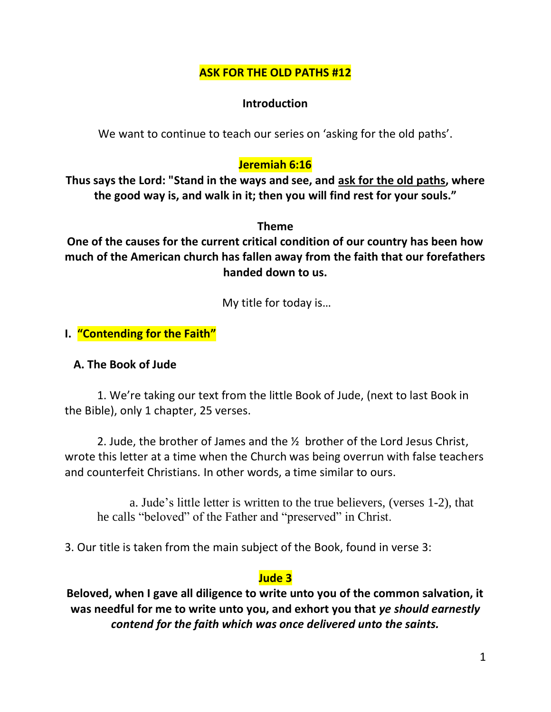### **ASK FOR THE OLD PATHS #12**

### **Introduction**

We want to continue to teach our series on 'asking for the old paths'.

# **Jeremiah 6:16**

**Thus says the Lord: "Stand in the ways and see, and ask for the old paths, where the good way is, and walk in it; then you will find rest for your souls."**

**Theme**

**One of the causes for the current critical condition of our country has been how much of the American church has fallen away from the faith that our forefathers handed down to us.**

My title for today is…

**I. "Contending for the Faith"**

### **A. The Book of Jude**

1. We're taking our text from the little Book of Jude, (next to last Book in the Bible), only 1 chapter, 25 verses.

2. Jude, the brother of James and the ½ brother of the Lord Jesus Christ, wrote this letter at a time when the Church was being overrun with false teachers and counterfeit Christians. In other words, a time similar to ours.

a. Jude's little letter is written to the true believers, (verses 1-2), that he calls "beloved" of the Father and "preserved" in Christ.

3. Our title is taken from the main subject of the Book, found in verse 3:

# **Jude 3**

**Beloved, when I gave all diligence to write unto you of the common salvation, it was needful for me to write unto you, and exhort you that** *ye should earnestly contend for the faith which was once delivered unto the saints.*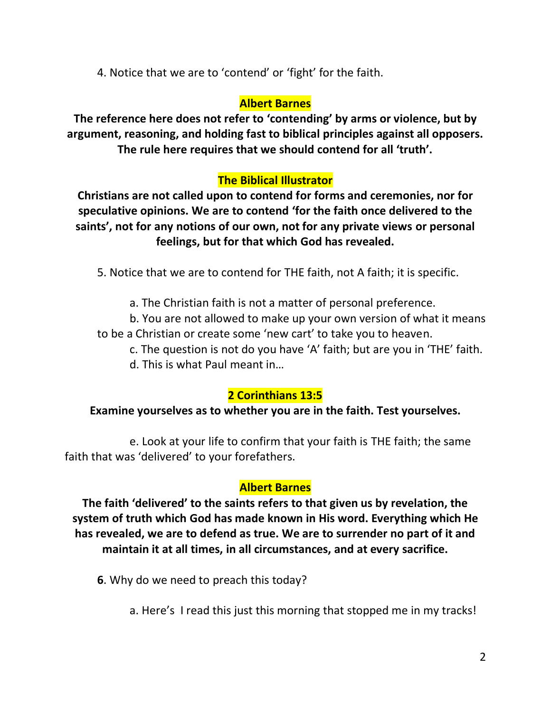4. Notice that we are to 'contend' or 'fight' for the faith.

### **Albert Barnes**

**The reference here does not refer to 'contending' by arms or violence, but by argument, reasoning, and holding fast to biblical principles against all opposers. The rule here requires that we should contend for all 'truth'.**

# **The Biblical Illustrator**

**Christians are not called upon to contend for forms and ceremonies, nor for speculative opinions. We are to contend 'for the faith once delivered to the saints', not for any notions of our own, not for any private views or personal feelings, but for that which God has revealed.**

5. Notice that we are to contend for THE faith, not A faith; it is specific.

a. The Christian faith is not a matter of personal preference.

b. You are not allowed to make up your own version of what it means to be a Christian or create some 'new cart' to take you to heaven.

c. The question is not do you have 'A' faith; but are you in 'THE' faith. d. This is what Paul meant in…

# **2 Corinthians 13:5**

### **Examine yourselves as to whether you are in the faith. Test yourselves.**

e. Look at your life to confirm that your faith is THE faith; the same faith that was 'delivered' to your forefathers.

### **Albert Barnes**

**The faith 'delivered' to the saints refers to that given us by revelation, the system of truth which God has made known in His word. Everything which He has revealed, we are to defend as true. We are to surrender no part of it and maintain it at all times, in all circumstances, and at every sacrifice.**

**6**. Why do we need to preach this today?

a. Here's I read this just this morning that stopped me in my tracks!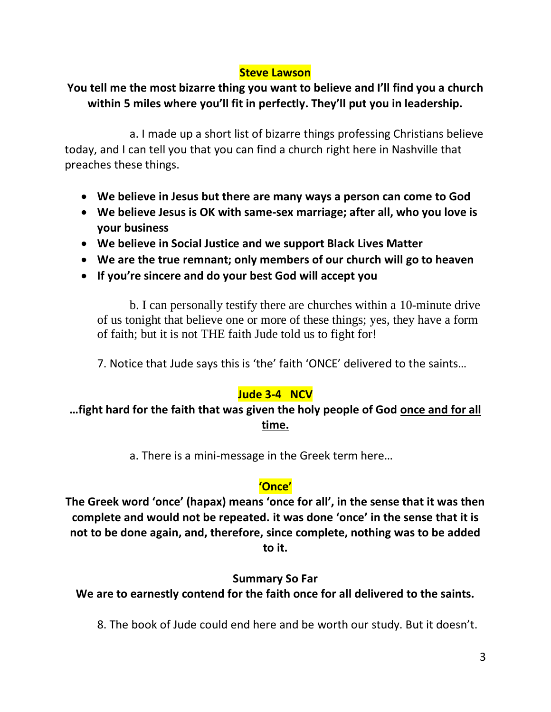#### **Steve Lawson**

# **You tell me the most bizarre thing you want to believe and I'll find you a church within 5 miles where you'll fit in perfectly. They'll put you in leadership.**

a. I made up a short list of bizarre things professing Christians believe today, and I can tell you that you can find a church right here in Nashville that preaches these things.

- **We believe in Jesus but there are many ways a person can come to God**
- **We believe Jesus is OK with same-sex marriage; after all, who you love is your business**
- **We believe in Social Justice and we support Black Lives Matter**
- **We are the true remnant; only members of our church will go to heaven**
- **If you're sincere and do your best God will accept you**

b. I can personally testify there are churches within a 10-minute drive of us tonight that believe one or more of these things; yes, they have a form of faith; but it is not THE faith Jude told us to fight for!

7. Notice that Jude says this is 'the' faith 'ONCE' delivered to the saints…

### **Jude 3-4 NCV**

### **…fight hard for the faith that was given the holy people of God once and for all time.**

a. There is a mini-message in the Greek term here…

### **'Once'**

**The Greek word 'once' (hapax) means 'once for all', in the sense that it was then complete and would not be repeated. it was done 'once' in the sense that it is not to be done again, and, therefore, since complete, nothing was to be added to it.**

#### **Summary So Far**

**We are to earnestly contend for the faith once for all delivered to the saints.**

8. The book of Jude could end here and be worth our study. But it doesn't.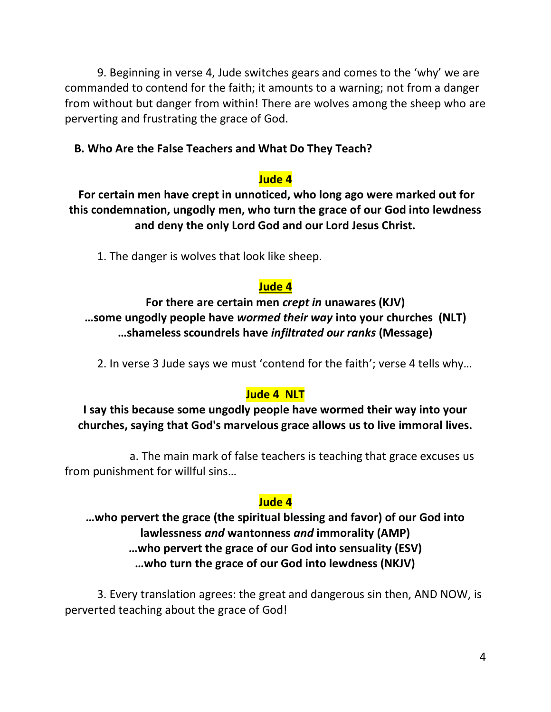9. Beginning in verse 4, Jude switches gears and comes to the 'why' we are commanded to contend for the faith; it amounts to a warning; not from a danger from without but danger from within! There are wolves among the sheep who are perverting and frustrating the grace of God.

### **B. Who Are the False Teachers and What Do They Teach?**

### **Jude 4**

**For certain men have crept in unnoticed, who long ago were marked out for this condemnation, ungodly men, who turn the grace of our God into lewdness and deny the only Lord God and our Lord Jesus Christ.** 

1. The danger is wolves that look like sheep.

### **Jude 4**

**For there are certain men** *crept in* **unawares (KJV) …some ungodly people have** *wormed their way* **into your churches (NLT) …shameless scoundrels have** *infiltrated our ranks* **(Message)**

2. In verse 3 Jude says we must 'contend for the faith'; verse 4 tells why…

### **Jude 4 NLT**

# **I say this because some ungodly people have wormed their way into your churches, saying that God's marvelous grace allows us to live immoral lives.**

a. The main mark of false teachers is teaching that grace excuses us from punishment for willful sins…

### **Jude 4**

# **…who pervert the grace (the spiritual blessing and favor) of our God into lawlessness** *and* **wantonness** *and* **immorality (AMP) …who pervert the grace of our God into sensuality (ESV) …who turn the grace of our God into lewdness (NKJV)**

3. Every translation agrees: the great and dangerous sin then, AND NOW, is perverted teaching about the grace of God!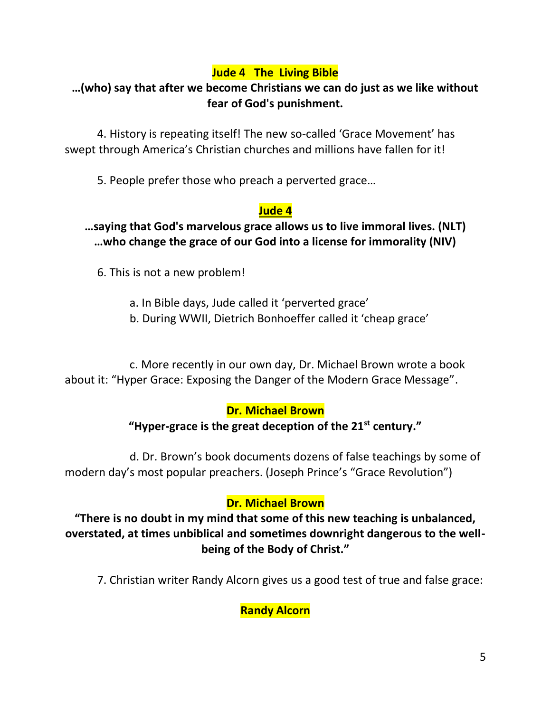# **Jude 4 The Living Bible**

# **…(who) say that after we become Christians we can do just as we like without fear of God's punishment.**

4. History is repeating itself! The new so-called 'Grace Movement' has swept through America's Christian churches and millions have fallen for it!

5. People prefer those who preach a perverted grace…

# **Jude 4**

### **…saying that God's marvelous grace allows us to live immoral lives. (NLT) …who change the grace of our God into a license for immorality (NIV)**

6. This is not a new problem!

a. In Bible days, Jude called it 'perverted grace'

b. During WWII, Dietrich Bonhoeffer called it 'cheap grace'

c. More recently in our own day, Dr. Michael Brown wrote a book about it: "Hyper Grace: Exposing the Danger of the Modern Grace Message".

# **Dr. Michael Brown**

# **"Hyper-grace is the great deception of the 21st century."**

d. Dr. Brown's book documents dozens of false teachings by some of modern day's most popular preachers. (Joseph Prince's "Grace Revolution")

# **Dr. Michael Brown**

**"There is no doubt in my mind that some of this new teaching is unbalanced, overstated, at times unbiblical and sometimes downright dangerous to the wellbeing of the Body of Christ."**

7. Christian writer Randy Alcorn gives us a good test of true and false grace:

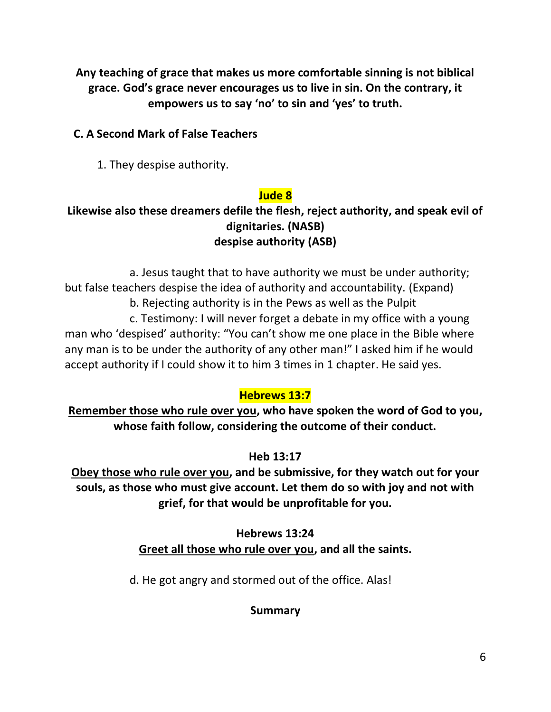**Any teaching of grace that makes us more comfortable sinning is not biblical grace. God's grace never encourages us to live in sin. On the contrary, it empowers us to say 'no' to sin and 'yes' to truth.**

# **C. A Second Mark of False Teachers**

1. They despise authority.

# **Jude 8**

# **Likewise also these dreamers defile the flesh, reject authority, and speak evil of dignitaries. (NASB) despise authority (ASB)**

a. Jesus taught that to have authority we must be under authority; but false teachers despise the idea of authority and accountability. (Expand) b. Rejecting authority is in the Pews as well as the Pulpit

c. Testimony: I will never forget a debate in my office with a young man who 'despised' authority: "You can't show me one place in the Bible where any man is to be under the authority of any other man!" I asked him if he would accept authority if I could show it to him 3 times in 1 chapter. He said yes.

# **Hebrews 13:7**

**Remember those who rule over you, who have spoken the word of God to you, whose faith follow, considering the outcome of their conduct.**

# **Heb 13:17**

**Obey those who rule over you, and be submissive, for they watch out for your souls, as those who must give account. Let them do so with joy and not with grief, for that would be unprofitable for you.**

# **Hebrews 13:24 Greet all those who rule over you, and all the saints.**

d. He got angry and stormed out of the office. Alas!

# **Summary**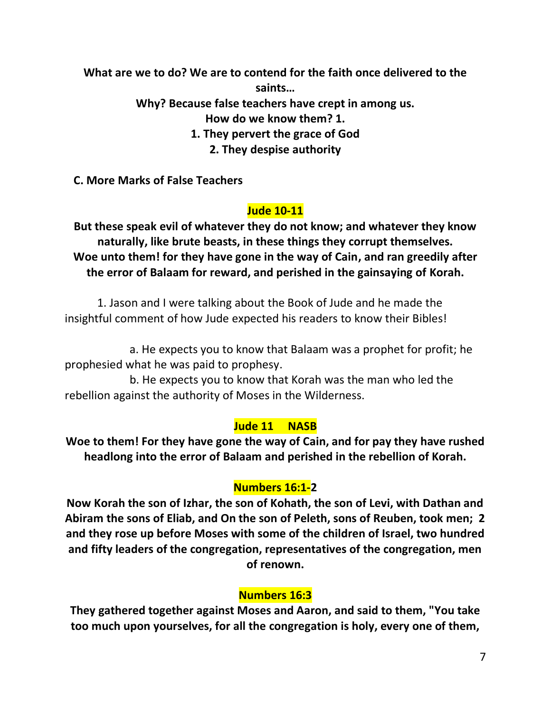**What are we to do? We are to contend for the faith once delivered to the saints…**

**Why? Because false teachers have crept in among us.**

**How do we know them? 1.** 

**1. They pervert the grace of God**

**2. They despise authority**

 **C. More Marks of False Teachers**

# **Jude 10-11**

**But these speak evil of whatever they do not know; and whatever they know naturally, like brute beasts, in these things they corrupt themselves. Woe unto them! for they have gone in the way of Cain, and ran greedily after the error of Balaam for reward, and perished in the gainsaying of Korah.**

1. Jason and I were talking about the Book of Jude and he made the insightful comment of how Jude expected his readers to know their Bibles!

a. He expects you to know that Balaam was a prophet for profit; he prophesied what he was paid to prophesy.

b. He expects you to know that Korah was the man who led the rebellion against the authority of Moses in the Wilderness.

### **Jude 11 NASB**

**Woe to them! For they have gone the way of Cain, and for pay they have rushed headlong into the error of Balaam and perished in the rebellion of Korah.**

# **Numbers 16:1-2**

**Now Korah the son of Izhar, the son of Kohath, the son of Levi, with Dathan and Abiram the sons of Eliab, and On the son of Peleth, sons of Reuben, took men; 2 and they rose up before Moses with some of the children of Israel, two hundred and fifty leaders of the congregation, representatives of the congregation, men of renown.** 

### **Numbers 16:3**

**They gathered together against Moses and Aaron, and said to them, "You take too much upon yourselves, for all the congregation is holy, every one of them,**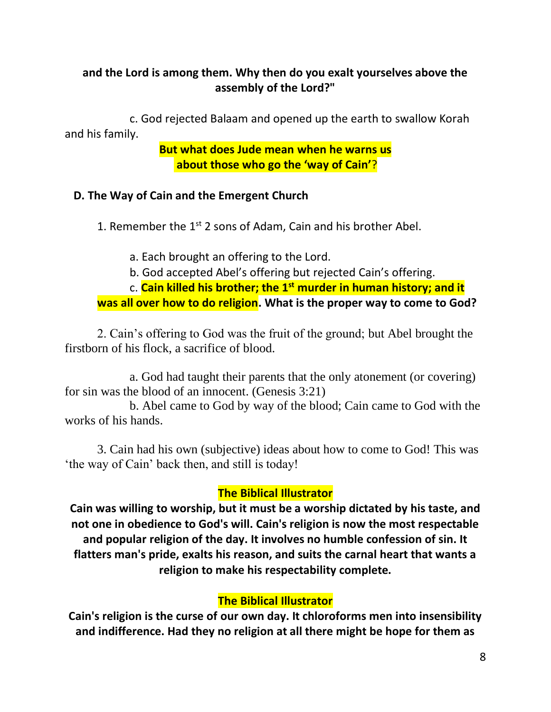### **and the Lord is among them. Why then do you exalt yourselves above the assembly of the Lord?"**

c. God rejected Balaam and opened up the earth to swallow Korah and his family.

> **But what does Jude mean when he warns us about those who go the 'way of Cain'**?

#### **D. The Way of Cain and the Emergent Church**

1. Remember the  $1<sup>st</sup>$  2 sons of Adam, Cain and his brother Abel.

- a. Each brought an offering to the Lord.
- b. God accepted Abel's offering but rejected Cain's offering.

c. **Cain killed his brother; the 1st murder in human history; and it was all over how to do religion. What is the proper way to come to God?**

2. Cain's offering to God was the fruit of the ground; but Abel brought the firstborn of his flock, a sacrifice of blood.

a. God had taught their parents that the only atonement (or covering) for sin was the blood of an innocent. (Genesis 3:21)

b. Abel came to God by way of the blood; Cain came to God with the works of his hands.

3. Cain had his own (subjective) ideas about how to come to God! This was 'the way of Cain' back then, and still is today!

### **The Biblical Illustrator**

**Cain was willing to worship, but it must be a worship dictated by his taste, and not one in obedience to God's will. Cain's religion is now the most respectable and popular religion of the day. It involves no humble confession of sin. It flatters man's pride, exalts his reason, and suits the carnal heart that wants a religion to make his respectability complete.**

#### **The Biblical Illustrator**

**Cain's religion is the curse of our own day. It chloroforms men into insensibility and indifference. Had they no religion at all there might be hope for them as**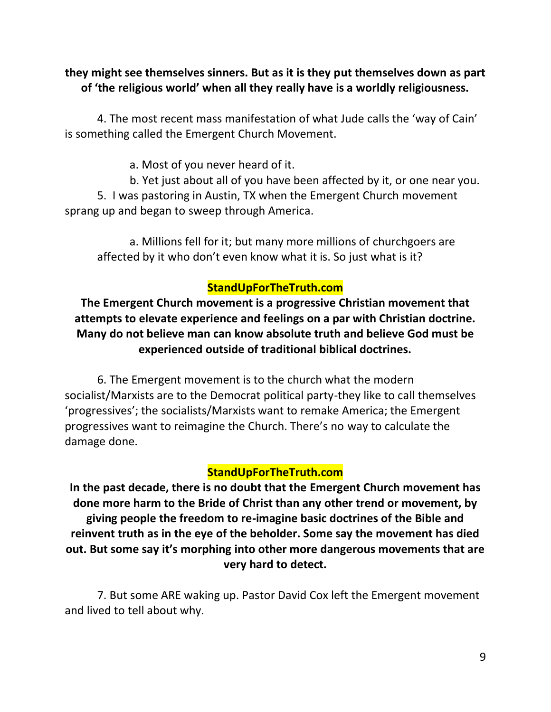### **they might see themselves sinners. But as it is they put themselves down as part of 'the religious world' when all they really have is a worldly religiousness.**

4. The most recent mass manifestation of what Jude calls the 'way of Cain' is something called the Emergent Church Movement.

a. Most of you never heard of it.

b. Yet just about all of you have been affected by it, or one near you. 5. I was pastoring in Austin, TX when the Emergent Church movement sprang up and began to sweep through America.

a. Millions fell for it; but many more millions of churchgoers are affected by it who don't even know what it is. So just what is it?

### **StandUpForTheTruth.com**

**The Emergent Church movement is a progressive Christian movement that attempts to elevate experience and feelings on a par with Christian doctrine. Many do not believe man can know absolute truth and believe God must be experienced outside of traditional biblical doctrines.**

6. The Emergent movement is to the church what the modern socialist/Marxists are to the Democrat political party-they like to call themselves 'progressives'; the socialists/Marxists want to remake America; the Emergent progressives want to reimagine the Church. There's no way to calculate the damage done.

### **StandUpForTheTruth.com**

**In the past decade, there is no doubt that the Emergent Church movement has done more harm to the Bride of Christ than any other trend or movement, by giving people the freedom to re-imagine basic doctrines of the Bible and reinvent truth as in the eye of the beholder. Some say the movement has died out. But some say it's morphing into other more dangerous movements that are very hard to detect.**

7. But some ARE waking up. Pastor David Cox left the Emergent movement and lived to tell about why.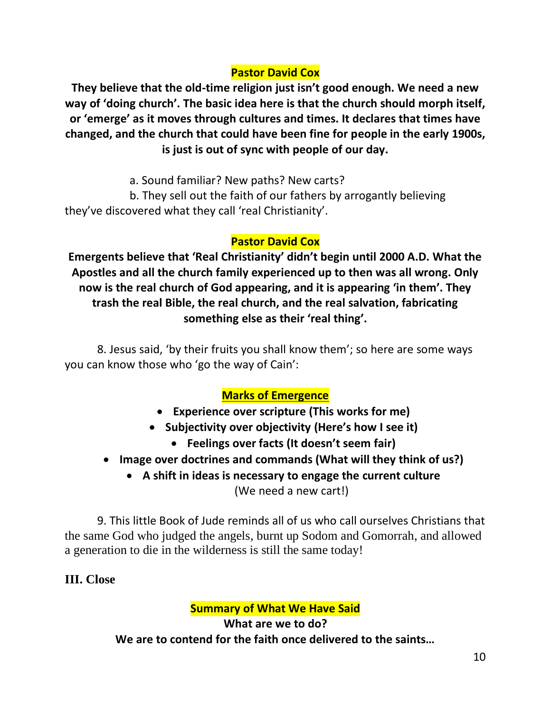# **Pastor David Cox**

**They believe that the old-time religion just isn't good enough. We need a new way of 'doing church'. The basic idea here is that the church should morph itself, or 'emerge' as it moves through cultures and times. It declares that times have changed, and the church that could have been fine for people in the early 1900s, is just is out of sync with people of our day.**

a. Sound familiar? New paths? New carts?

b. They sell out the faith of our fathers by arrogantly believing they've discovered what they call 'real Christianity'.

# **Pastor David Cox**

**Emergents believe that 'Real Christianity' didn't begin until 2000 A.D. What the Apostles and all the church family experienced up to then was all wrong. Only now is the real church of God appearing, and it is appearing 'in them'. They trash the real Bible, the real church, and the real salvation, fabricating something else as their 'real thing'.**

8. Jesus said, 'by their fruits you shall know them'; so here are some ways you can know those who 'go the way of Cain':

# **Marks of Emergence**

- **Experience over scripture (This works for me)**
- **Subjectivity over objectivity (Here's how I see it)** 
	- **Feelings over facts (It doesn't seem fair)**
- **Image over doctrines and commands (What will they think of us?)**
	- **A shift in ideas is necessary to engage the current culture**

(We need a new cart!)

9. This little Book of Jude reminds all of us who call ourselves Christians that the same God who judged the angels, burnt up Sodom and Gomorrah, and allowed a generation to die in the wilderness is still the same today!

# **III. Close**

# **Summary of What We Have Said**

**What are we to do? We are to contend for the faith once delivered to the saints…**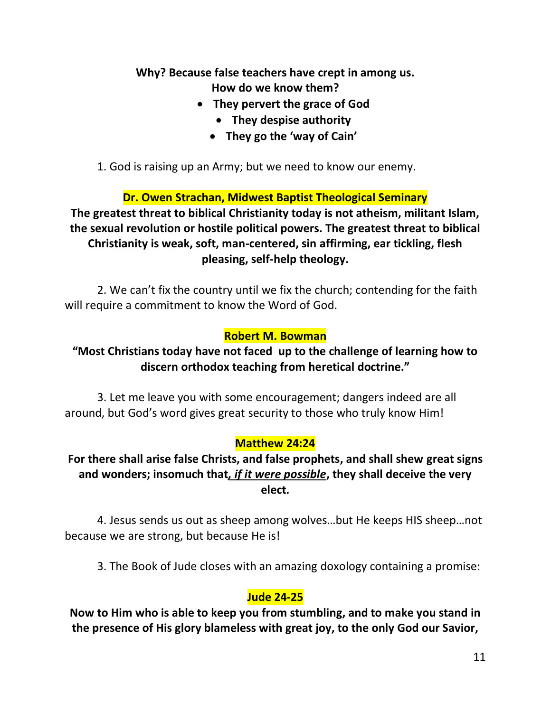# **Why? Because false teachers have crept in among us. How do we know them?**

- **They pervert the grace of God**
	- **They despise authority**
	- **They go the 'way of Cain'**
- 1. God is raising up an Army; but we need to know our enemy.

### **Dr. Owen Strachan, Midwest Baptist Theological Seminary**

**The greatest threat to biblical Christianity today is not atheism, militant Islam, the sexual revolution or hostile political powers. The greatest threat to biblical Christianity is weak, soft, man-centered, sin affirming, ear tickling, flesh pleasing, self-help theology.**

2. We can't fix the country until we fix the church; contending for the faith will require a commitment to know the Word of God.

#### **Robert M. Bowman**

# **"Most Christians today have not faced up to the challenge of learning how to discern orthodox teaching from heretical doctrine."**

3. Let me leave you with some encouragement; dangers indeed are all around, but God's word gives great security to those who truly know Him!

### **Matthew 24:24**

### **For there shall arise false Christs, and false prophets, and shall shew great signs and wonders; insomuch that***, if it were possible***, they shall deceive the very elect.**

4. Jesus sends us out as sheep among wolves…but He keeps HIS sheep…not because we are strong, but because He is!

3. The Book of Jude closes with an amazing doxology containing a promise:

### **Jude 24-25**

**Now to Him who is able to keep you from stumbling, and to make you stand in the presence of His glory blameless with great joy, to the only God our Savior,**